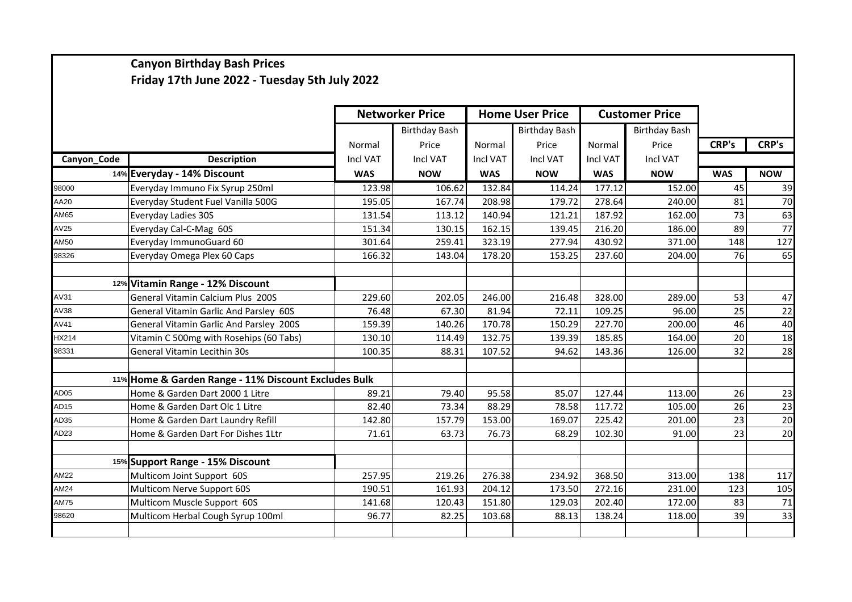## **Canyon Birthday Bash Prices Friday 17th June 2022 - Tuesday 5th July 2022**

|                  |                                                      | <b>Networker Price</b> |                      | <b>Home User Price</b> |                      | <b>Customer Price</b> |                      |                 |              |
|------------------|------------------------------------------------------|------------------------|----------------------|------------------------|----------------------|-----------------------|----------------------|-----------------|--------------|
|                  |                                                      |                        | <b>Birthday Bash</b> |                        | <b>Birthday Bash</b> |                       | <b>Birthday Bash</b> |                 |              |
|                  |                                                      | Normal                 | Price                | Normal                 | Price                | Normal                | Price                | <b>CRP's</b>    | <b>CRP's</b> |
| Canyon_Code      | <b>Description</b>                                   | <b>Incl VAT</b>        | Incl VAT             | Incl VAT               | Incl VAT             | Incl VAT              | Incl VAT             |                 |              |
|                  | 14% Everyday - 14% Discount                          | <b>WAS</b>             | <b>NOW</b>           | <b>WAS</b>             | <b>NOW</b>           | <b>WAS</b>            | <b>NOW</b>           | <b>WAS</b>      | <b>NOW</b>   |
| 98000            | Everyday Immuno Fix Syrup 250ml                      | 123.98                 | 106.62               | 132.84                 | 114.24               | 177.12                | 152.00               | 45              | 39           |
| AA20             | Everyday Student Fuel Vanilla 500G                   | 195.05                 | 167.74               | 208.98                 | 179.72               | 278.64                | 240.00               | 81              | 70           |
| AM65             | Everyday Ladies 30S                                  | 131.54                 | 113.12               | 140.94                 | 121.21               | 187.92                | 162.00               | 73              | 63           |
| AV25             | Everyday Cal-C-Mag 60S                               | 151.34                 | 130.15               | 162.15                 | 139.45               | 216.20                | 186.00               | 89              | 77           |
| AM50             | Everyday ImmunoGuard 60                              | 301.64                 | 259.41               | 323.19                 | 277.94               | 430.92                | 371.00               | 148             | 127          |
| 98326            | Everyday Omega Plex 60 Caps                          | 166.32                 | 143.04               | 178.20                 | 153.25               | 237.60                | 204.00               | 76              | 65           |
|                  | 12% Vitamin Range - 12% Discount                     |                        |                      |                        |                      |                       |                      |                 |              |
| AV31             | General Vitamin Calcium Plus 200S                    | 229.60                 | 202.05               | 246.00                 | 216.48               | 328.00                | 289.00               | 53              | 47           |
| AV38             | General Vitamin Garlic And Parsley 60S               | 76.48                  | 67.30                | 81.94                  | 72.11                | 109.25                | 96.00                | 25              | 22           |
| AV41             | General Vitamin Garlic And Parsley 200S              | 159.39                 | 140.26               | 170.78                 | 150.29               | 227.70                | 200.00               | 46              | 40           |
| 1X214            | Vitamin C 500mg with Rosehips (60 Tabs)              | 130.10                 | 114.49               | 132.75                 | 139.39               | 185.85                | 164.00               | 20              | 18           |
| 98331            | General Vitamin Lecithin 30s                         | 100.35                 | 88.31                | 107.52                 | 94.62                | 143.36                | 126.00               | 32              | 28           |
|                  | 11% Home & Garden Range - 11% Discount Excludes Bulk |                        |                      |                        |                      |                       |                      |                 |              |
| AD <sub>05</sub> | Home & Garden Dart 2000 1 Litre                      | 89.21                  | 79.40                | 95.58                  | 85.07                | 127.44                | 113.00               | 26              | 23           |
| AD <sub>15</sub> | Home & Garden Dart Olc 1 Litre                       | 82.40                  | 73.34                | 88.29                  | 78.58                | 117.72                | 105.00               | $\overline{26}$ | 23           |
| AD35             | Home & Garden Dart Laundry Refill                    | 142.80                 | 157.79               | 153.00                 | 169.07               | 225.42                | 201.00               | 23              | 20           |
| AD <sub>23</sub> | Home & Garden Dart For Dishes 1Ltr                   | 71.61                  | 63.73                | 76.73                  | 68.29                | 102.30                | 91.00                | 23              | 20           |
|                  | 15% Support Range - 15% Discount                     |                        |                      |                        |                      |                       |                      |                 |              |
| <b>AM22</b>      | Multicom Joint Support 60S                           | 257.95                 | 219.26               | 276.38                 | 234.92               | 368.50                | 313.00               | 138             | 117          |
| AM24             | Multicom Nerve Support 60S                           | 190.51                 | 161.93               | 204.12                 | 173.50               | 272.16                | 231.00               | 123             | 105          |
| <b>AM75</b>      | Multicom Muscle Support 60S                          | 141.68                 | 120.43               | 151.80                 | 129.03               | 202.40                | 172.00               | 83              | 71           |
| 98620            | Multicom Herbal Cough Syrup 100ml                    | 96.77                  | 82.25                | 103.68                 | 88.13                | 138.24                | 118.00               | 39              | 33           |
|                  |                                                      |                        |                      |                        |                      |                       |                      |                 |              |